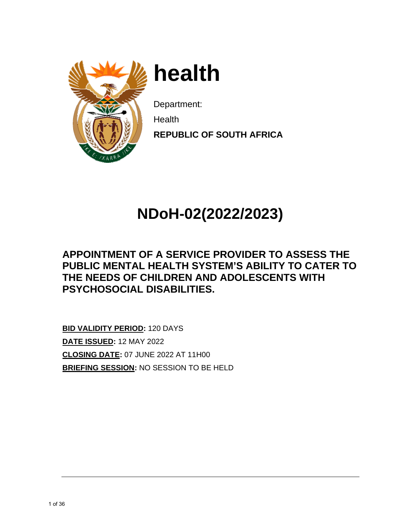

**h heal th** 

Department:

**N** Health

**REPUBLIC OF SOUTH AFRICA** 

# **NDo oH-02 2(2022 2/2023 3)**

### **APPOINTMENT OF A SERVICE PROVIDER TO ASSESS THE PUBLIC MENTAL HEALTH SYSTEM'S ABILITY TO CATER TO THE N NEEDS O OF CHIL LDREN A AND AD OLESCE ENTS W ITH PSYC HOSOC CIAL DIS SABILITI ES.**

**BID VAL LIDITY PER RIOD:** 120 DAYS **DATE IS SSUED:** 12 2 MAY 2022 **<u>DATE ISSUED</u>: 12 MAY 2022<br><u>CLOSING DATE</u>: 07 JUNE 2022 AT 11H00 BRIEFIN NG SESSIO ON:** NO SE ESSION TO O BE HELD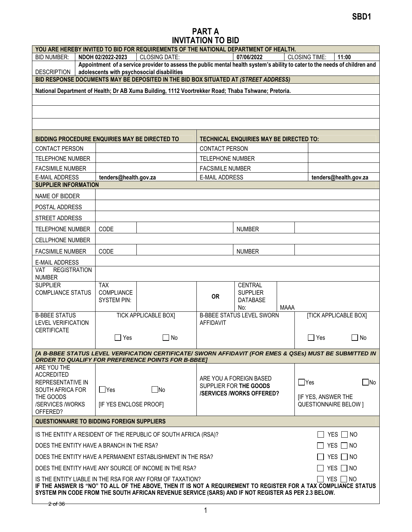#### PART A INVITATION TO BID

| YOU ARE HEREBY INVITED TO BID FOR REQUIREMENTS OF THE NATIONAL DEPARTMENT OF HEALTH.                                                                                                                                                                                                              |                                                                                                                                                              |                                                                                                                                                                           |                         |                                                |             |                              |                              |
|---------------------------------------------------------------------------------------------------------------------------------------------------------------------------------------------------------------------------------------------------------------------------------------------------|--------------------------------------------------------------------------------------------------------------------------------------------------------------|---------------------------------------------------------------------------------------------------------------------------------------------------------------------------|-------------------------|------------------------------------------------|-------------|------------------------------|------------------------------|
| <b>BID NUMBER:</b>                                                                                                                                                                                                                                                                                | NDOH 02/2022-2023                                                                                                                                            | <b>CLOSING DATE:</b>                                                                                                                                                      |                         | 07/06/2022                                     |             | <b>CLOSING TIME:</b>         | 11:00                        |
| <b>DESCRIPTION</b>                                                                                                                                                                                                                                                                                |                                                                                                                                                              | Appointment of a service provider to assess the public mental health system's ability to cater to the needs of children and<br>adolescents with psychosocial disabilities |                         |                                                |             |                              |                              |
| BID RESPONSE DOCUMENTS MAY BE DEPOSITED IN THE BID BOX SITUATED AT (STREET ADDRESS)                                                                                                                                                                                                               |                                                                                                                                                              |                                                                                                                                                                           |                         |                                                |             |                              |                              |
| National Department of Health; Dr AB Xuma Building, 1112 Voortrekker Road; Thaba Tshwane; Pretoria.                                                                                                                                                                                               |                                                                                                                                                              |                                                                                                                                                                           |                         |                                                |             |                              |                              |
|                                                                                                                                                                                                                                                                                                   |                                                                                                                                                              |                                                                                                                                                                           |                         |                                                |             |                              |                              |
|                                                                                                                                                                                                                                                                                                   |                                                                                                                                                              |                                                                                                                                                                           |                         |                                                |             |                              |                              |
|                                                                                                                                                                                                                                                                                                   |                                                                                                                                                              |                                                                                                                                                                           |                         |                                                |             |                              |                              |
|                                                                                                                                                                                                                                                                                                   |                                                                                                                                                              |                                                                                                                                                                           |                         |                                                |             |                              |                              |
| <b>BIDDING PROCEDURE ENQUIRIES MAY BE DIRECTED TO</b>                                                                                                                                                                                                                                             |                                                                                                                                                              |                                                                                                                                                                           |                         | <b>TECHNICAL ENQUIRIES MAY BE DIRECTED TO:</b> |             |                              |                              |
| <b>CONTACT PERSON</b>                                                                                                                                                                                                                                                                             |                                                                                                                                                              |                                                                                                                                                                           | <b>CONTACT PERSON</b>   |                                                |             |                              |                              |
| TELEPHONE NUMBER                                                                                                                                                                                                                                                                                  |                                                                                                                                                              |                                                                                                                                                                           | TELEPHONE NUMBER        |                                                |             |                              |                              |
| <b>FACSIMILE NUMBER</b>                                                                                                                                                                                                                                                                           |                                                                                                                                                              |                                                                                                                                                                           | <b>FACSIMILE NUMBER</b> |                                                |             |                              |                              |
| <b>E-MAIL ADDRESS</b><br><b>SUPPLIER INFORMATION</b>                                                                                                                                                                                                                                              | tenders@health.gov.za                                                                                                                                        |                                                                                                                                                                           | <b>E-MAIL ADDRESS</b>   |                                                |             |                              | tenders@health.gov.za        |
|                                                                                                                                                                                                                                                                                                   |                                                                                                                                                              |                                                                                                                                                                           |                         |                                                |             |                              |                              |
| NAME OF BIDDER                                                                                                                                                                                                                                                                                    |                                                                                                                                                              |                                                                                                                                                                           |                         |                                                |             |                              |                              |
| POSTAL ADDRESS                                                                                                                                                                                                                                                                                    |                                                                                                                                                              |                                                                                                                                                                           |                         |                                                |             |                              |                              |
| STREET ADDRESS                                                                                                                                                                                                                                                                                    |                                                                                                                                                              |                                                                                                                                                                           |                         |                                                |             |                              |                              |
| <b>TELEPHONE NUMBER</b>                                                                                                                                                                                                                                                                           | CODE                                                                                                                                                         |                                                                                                                                                                           |                         | <b>NUMBER</b>                                  |             |                              |                              |
| CELLPHONE NUMBER                                                                                                                                                                                                                                                                                  |                                                                                                                                                              |                                                                                                                                                                           |                         |                                                |             |                              |                              |
| <b>FACSIMILE NUMBER</b>                                                                                                                                                                                                                                                                           | CODE                                                                                                                                                         |                                                                                                                                                                           |                         | <b>NUMBER</b>                                  |             |                              |                              |
| E-MAIL ADDRESS                                                                                                                                                                                                                                                                                    |                                                                                                                                                              |                                                                                                                                                                           |                         |                                                |             |                              |                              |
| <b>REGISTRATION</b><br><b>VAT</b><br><b>NUMBER</b>                                                                                                                                                                                                                                                |                                                                                                                                                              |                                                                                                                                                                           |                         |                                                |             |                              |                              |
| <b>SUPPLIER</b>                                                                                                                                                                                                                                                                                   | <b>TAX</b>                                                                                                                                                   |                                                                                                                                                                           |                         | <b>CENTRAL</b>                                 |             |                              |                              |
| <b>COMPLIANCE STATUS</b>                                                                                                                                                                                                                                                                          | COMPLIANCE                                                                                                                                                   |                                                                                                                                                                           | <b>OR</b>               | <b>SUPPLIER</b>                                |             |                              |                              |
|                                                                                                                                                                                                                                                                                                   | <b>SYSTEM PIN:</b>                                                                                                                                           |                                                                                                                                                                           |                         | <b>DATABASE</b><br>No:                         | <b>MAAA</b> |                              |                              |
| <b>B-BBEE STATUS</b>                                                                                                                                                                                                                                                                              |                                                                                                                                                              | <b>TICK APPLICABLE BOX]</b>                                                                                                                                               |                         | <b>B-BBEE STATUS LEVEL SWORN</b>               |             |                              | <b>[TICK APPLICABLE BOX]</b> |
| <b>LEVEL VERIFICATION</b><br><b>CERTIFICATE</b>                                                                                                                                                                                                                                                   |                                                                                                                                                              |                                                                                                                                                                           | AFFIDAVIT               |                                                |             |                              |                              |
|                                                                                                                                                                                                                                                                                                   | Yes<br>$\mathbb{R}^n$                                                                                                                                        | $\Box$ No                                                                                                                                                                 |                         |                                                |             | $\Box$ Yes                   | l INo                        |
|                                                                                                                                                                                                                                                                                                   |                                                                                                                                                              |                                                                                                                                                                           |                         |                                                |             |                              |                              |
| [A B-BBEE STATUS LEVEL VERIFICATION CERTIFICATE/ SWORN AFFIDAVIT (FOR EMES & QSEs) MUST BE SUBMITTED IN<br><b>ORDER TO QUALIFY FOR PREFERENCE POINTS FOR B-BBEET</b>                                                                                                                              |                                                                                                                                                              |                                                                                                                                                                           |                         |                                                |             |                              |                              |
| ARE YOU THE                                                                                                                                                                                                                                                                                       |                                                                                                                                                              |                                                                                                                                                                           |                         |                                                |             |                              |                              |
| <b>ACCREDITED</b><br><b>REPRESENTATIVE IN</b>                                                                                                                                                                                                                                                     |                                                                                                                                                              |                                                                                                                                                                           |                         | ARE YOU A FOREIGN BASED                        |             | $\Box$ Yes                   | $\Box$ No                    |
| SOUTH AFRICA FOR                                                                                                                                                                                                                                                                                  | $\Box$ Yes                                                                                                                                                   | $\square$ No                                                                                                                                                              |                         | SUPPLIER FOR THE GOODS                         |             |                              |                              |
| THE GOODS                                                                                                                                                                                                                                                                                         |                                                                                                                                                              |                                                                                                                                                                           |                         | <b>/SERVICES/WORKS OFFERED?</b>                |             | [IF YES, ANSWER THE          |                              |
| /SERVICES /WORKS<br>OFFERED?                                                                                                                                                                                                                                                                      | [IF YES ENCLOSE PROOF]                                                                                                                                       |                                                                                                                                                                           |                         |                                                |             | <b>QUESTIONNAIRE BELOW 1</b> |                              |
| <b>QUESTIONNAIRE TO BIDDING FOREIGN SUPPLIERS</b>                                                                                                                                                                                                                                                 |                                                                                                                                                              |                                                                                                                                                                           |                         |                                                |             |                              |                              |
|                                                                                                                                                                                                                                                                                                   |                                                                                                                                                              |                                                                                                                                                                           |                         |                                                |             |                              |                              |
|                                                                                                                                                                                                                                                                                                   | IS THE ENTITY A RESIDENT OF THE REPUBLIC OF SOUTH AFRICA (RSA)?<br>$\Box$ YES $\Box$ NO<br>DOES THE ENTITY HAVE A BRANCH IN THE RSA?<br>$\Box$ Yes $\Box$ No |                                                                                                                                                                           |                         |                                                |             |                              |                              |
|                                                                                                                                                                                                                                                                                                   |                                                                                                                                                              |                                                                                                                                                                           |                         |                                                |             |                              |                              |
|                                                                                                                                                                                                                                                                                                   | $YES \Box NO$<br>DOES THE ENTITY HAVE A PERMANENT ESTABLISHMENT IN THE RSA?                                                                                  |                                                                                                                                                                           |                         |                                                |             |                              |                              |
| YES $\Box$ NO<br>DOES THE ENTITY HAVE ANY SOURCE OF INCOME IN THE RSA?                                                                                                                                                                                                                            |                                                                                                                                                              |                                                                                                                                                                           |                         |                                                |             |                              |                              |
| T YES ∏ NO<br>IS THE ENTITY LIABLE IN THE RSA FOR ANY FORM OF TAXATION?<br>IF THE ANSWER IS "NO" TO ALL OF THE ABOVE, THEN IT IS NOT A REQUIREMENT TO REGISTER FOR A TAX COMPLIANCE STATUS<br>SYSTEM PIN CODE FROM THE SOUTH AFRICAN REVENUE SERVICE (SARS) AND IF NOT REGISTER AS PER 2.3 BELOW. |                                                                                                                                                              |                                                                                                                                                                           |                         |                                                |             |                              |                              |
| <del>2 of 36.</del>                                                                                                                                                                                                                                                                               |                                                                                                                                                              |                                                                                                                                                                           |                         |                                                |             |                              |                              |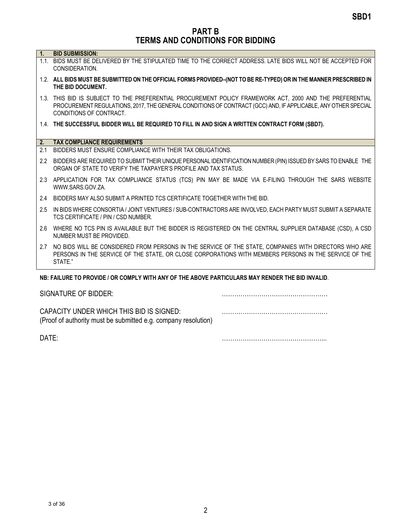PART B TERMS AND CONDITIONS FOR BIDDING

| Ч. |  |  |  |  |  | <b>BID SUBMISSION:</b> |
|----|--|--|--|--|--|------------------------|
|----|--|--|--|--|--|------------------------|

- 1.1. BIDS MUST BE DELIVERED BY THE STIPULATED TIME TO THE CORRECT ADDRESS. LATE BIDS WILL NOT BE ACCEPTED FOR CONSIDERATION.
- 1.2. ALL BIDS MUST BE SUBMITTED ON THE OFFICIAL FORMS PROVIDED–(NOT TO BE RE-TYPED) OR IN THE MANNER PRESCRIBED IN THE BID DOCUMENT.
- 1.3. THIS BID IS SUBJECT TO THE PREFERENTIAL PROCUREMENT POLICY FRAMEWORK ACT, 2000 AND THE PREFERENTIAL PROCUREMENT REGULATIONS, 2017, THE GENERAL CONDITIONS OF CONTRACT (GCC) AND, IF APPLICABLE, ANY OTHER SPECIAL CONDITIONS OF CONTRACT.
- 1.4. THE SUCCESSFUL BIDDER WILL BE REQUIRED TO FILL IN AND SIGN A WRITTEN CONTRACT FORM (SBD7).

#### 2. TAX COMPLIANCE REQUIREMENTS

- 2.1 BIDDERS MUST ENSURE COMPLIANCE WITH THEIR TAX OBLIGATIONS.
- 2.2 BIDDERS ARE REQUIRED TO SUBMIT THEIR UNIQUE PERSONAL IDENTIFICATION NUMBER (PIN) ISSUED BY SARS TO ENABLE THE ORGAN OF STATE TO VERIFY THE TAXPAYER'S PROFILE AND TAX STATUS.
- 2.3 APPLICATION FOR TAX COMPLIANCE STATUS (TCS) PIN MAY BE MADE VIA E-FILING THROUGH THE SARS WEBSITE WWW.SARS.GOV.ZA.
- 2.4 BIDDERS MAY ALSO SUBMIT A PRINTED TCS CERTIFICATE TOGETHER WITH THE BID.
- 2.5 IN BIDS WHERE CONSORTIA / JOINT VENTURES / SUB-CONTRACTORS ARE INVOLVED, EACH PARTY MUST SUBMIT A SEPARATE TCS CERTIFICATE / PIN / CSD NUMBER.
- 2.6 WHERE NO TCS PIN IS AVAILABLE BUT THE BIDDER IS REGISTERED ON THE CENTRAL SUPPLIER DATABASE (CSD), A CSD NUMBER MUST BE PROVIDED.
- 2.7 NO BIDS WILL BE CONSIDERED FROM PERSONS IN THE SERVICE OF THE STATE, COMPANIES WITH DIRECTORS WHO ARE PERSONS IN THE SERVICE OF THE STATE, OR CLOSE CORPORATIONS WITH MEMBERS PERSONS IN THE SERVICE OF THE STATE."

#### NB: FAILURE TO PROVIDE / OR COMPLY WITH ANY OF THE ABOVE PARTICULARS MAY RENDER THE BID INVALID.

| SIGNATURE OF BIDDER:                                                                                       |  |
|------------------------------------------------------------------------------------------------------------|--|
| CAPACITY UNDER WHICH THIS BID IS SIGNED:<br>(Proof of authority must be submitted e.g. company resolution) |  |

DATE: <u>matrices</u>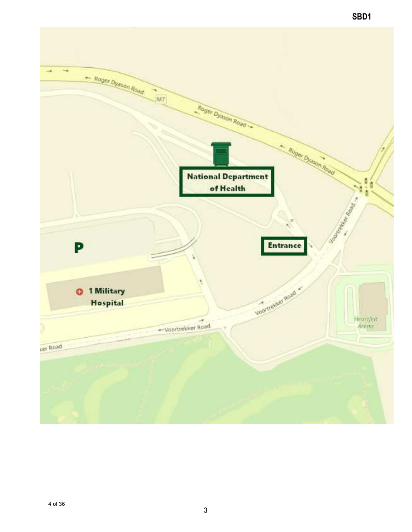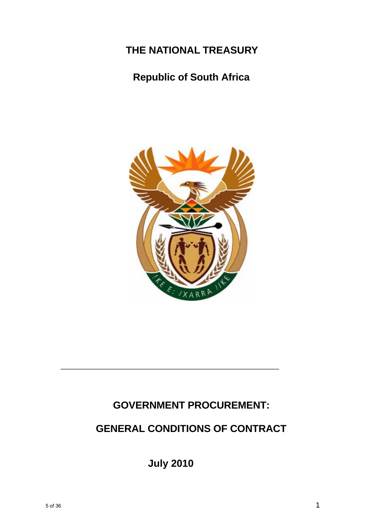## **THE NATIONAL TREASURY**

### **Republic of South Africa**



### **GOVERNMENT PROCUREMENT:**

## **GENERAL CONDITIONS OF CONTRACT**

**July 2010**

**\_\_\_\_\_\_\_\_\_\_\_\_\_\_\_\_\_\_\_\_\_\_\_\_\_\_\_\_\_\_\_\_\_\_\_\_\_\_\_\_\_\_\_\_\_\_\_\_\_\_\_\_\_\_\_\_\_\_\_\_\_\_\_\_\_\_\_\_\_**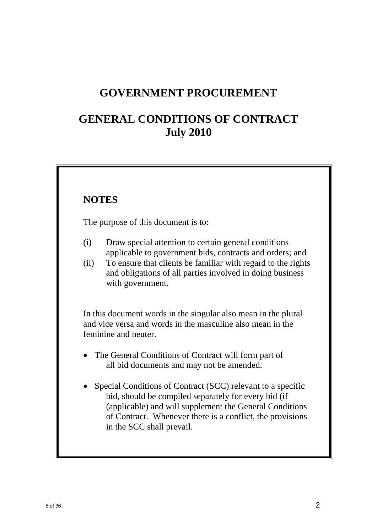### **GOVERNMENT PROCUREMENT**

### **GENERAL CONDITIONS OF CONTRACT July 2010**

### **NOTES**

The purpose of this document is to:

- (i) Draw special attention to certain general conditions applicable to government bids, contracts and orders; and
- (ii) To ensure that clients be familiar with regard to the rights and obligations of all parties involved in doing business with government.

 In this document words in the singular also mean in the plural and vice versa and words in the masculine also mean in the feminine and neuter.

- The General Conditions of Contract will form part of all bid documents and may not be amended.
- Special Conditions of Contract (SCC) relevant to a specific bid, should be compiled separately for every bid (if (applicable) and will supplement the General Conditions of Contract. Whenever there is a conflict, the provisions in the SCC shall prevail.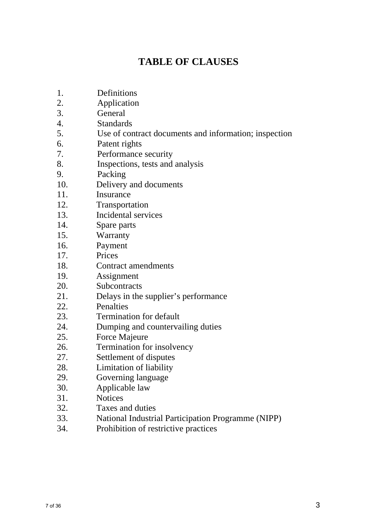### **TABLE OF CLAUSES**

- 1. Definitions
- 2. Application
- 3. General
- 4. Standards
- 5. Use of contract documents and information; inspection
- 6. Patent rights
- 7. Performance security
- 8. Inspections, tests and analysis
- 9. Packing
- 10. Delivery and documents
- 11. Insurance
- 12. Transportation
- 13. Incidental services
- 14. Spare parts
- 15. Warranty
- 16. Payment
- 17. Prices
- 18. Contract amendments
- 19. Assignment
- 20. Subcontracts
- 21. Delays in the supplier's performance
- 22. Penalties
- 23. Termination for default
- 24. Dumping and countervailing duties
- 25. Force Majeure
- 26. Termination for insolvency
- 27. Settlement of disputes
- 28. Limitation of liability
- 29. Governing language
- 30. Applicable law
- 31. Notices
- 32. Taxes and duties
- 33. National Industrial Participation Programme (NIPP)
- 34. Prohibition of restrictive practices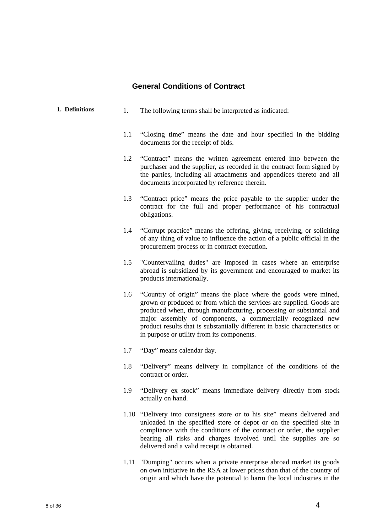#### **General Conditions of Contract**

| 1. Definitions | 1.  | The following terms shall be interpreted as indicated:                                                                                                                                                                                                                                                                                                                                                     |
|----------------|-----|------------------------------------------------------------------------------------------------------------------------------------------------------------------------------------------------------------------------------------------------------------------------------------------------------------------------------------------------------------------------------------------------------------|
|                | 1.1 | "Closing time" means the date and hour specified in the bidding<br>documents for the receipt of bids.                                                                                                                                                                                                                                                                                                      |
|                | 1.2 | "Contract" means the written agreement entered into between the<br>purchaser and the supplier, as recorded in the contract form signed by<br>the parties, including all attachments and appendices thereto and all<br>documents incorporated by reference therein.                                                                                                                                         |
|                | 1.3 | "Contract price" means the price payable to the supplier under the<br>contract for the full and proper performance of his contractual<br>obligations.                                                                                                                                                                                                                                                      |
|                | 1.4 | "Corrupt practice" means the offering, giving, receiving, or soliciting<br>of any thing of value to influence the action of a public official in the<br>procurement process or in contract execution.                                                                                                                                                                                                      |
|                | 1.5 | "Countervailing duties" are imposed in cases where an enterprise<br>abroad is subsidized by its government and encouraged to market its<br>products internationally.                                                                                                                                                                                                                                       |
|                | 1.6 | "Country of origin" means the place where the goods were mined,<br>grown or produced or from which the services are supplied. Goods are<br>produced when, through manufacturing, processing or substantial and<br>major assembly of components, a commercially recognized new<br>product results that is substantially different in basic characteristics or<br>in purpose or utility from its components. |
|                | 1.7 | "Day" means calendar day.                                                                                                                                                                                                                                                                                                                                                                                  |
|                | 1.8 | "Delivery" means delivery in compliance of the conditions of the<br>contract or order.                                                                                                                                                                                                                                                                                                                     |
|                | 1.9 | "Delivery ex stock" means immediate delivery directly from stock<br>actually on hand.                                                                                                                                                                                                                                                                                                                      |
|                |     | 1.10 "Delivery into consignees store or to his site" means delivered and<br>unloaded in the specified store or depot or on the specified site in<br>compliance with the conditions of the contract or order, the supplier<br>bearing all risks and charges involved until the supplies are so<br>delivered and a valid receipt is obtained.                                                                |

1.11 "Dumping" occurs when a private enterprise abroad market its goods on own initiative in the RSA at lower prices than that of the country of origin and which have the potential to harm the local industries in the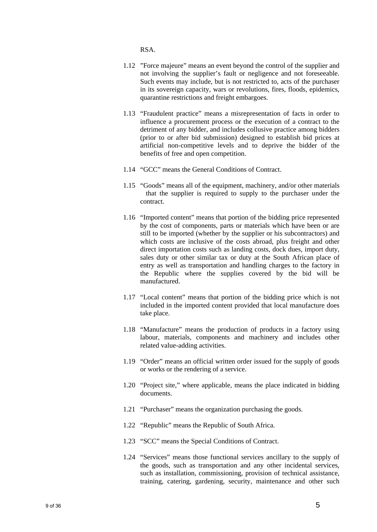RSA.

- 1.12 "Force majeure" means an event beyond the control of the supplier and not involving the supplier's fault or negligence and not foreseeable. Such events may include, but is not restricted to, acts of the purchaser in its sovereign capacity, wars or revolutions, fires, floods, epidemics, quarantine restrictions and freight embargoes.
- 1.13 "Fraudulent practice" means a misrepresentation of facts in order to influence a procurement process or the execution of a contract to the detriment of any bidder, and includes collusive practice among bidders (prior to or after bid submission) designed to establish bid prices at artificial non-competitive levels and to deprive the bidder of the benefits of free and open competition.
- 1.14 "GCC" means the General Conditions of Contract.
- 1.15 "Goods" means all of the equipment, machinery, and/or other materials that the supplier is required to supply to the purchaser under the contract.
- 1.16 "Imported content" means that portion of the bidding price represented by the cost of components, parts or materials which have been or are still to be imported (whether by the supplier or his subcontractors) and which costs are inclusive of the costs abroad, plus freight and other direct importation costs such as landing costs, dock dues, import duty, sales duty or other similar tax or duty at the South African place of entry as well as transportation and handling charges to the factory in the Republic where the supplies covered by the bid will be manufactured.
- 1.17 "Local content" means that portion of the bidding price which is not included in the imported content provided that local manufacture does take place.
- 1.18 "Manufacture" means the production of products in a factory using labour, materials, components and machinery and includes other related value-adding activities.
- 1.19 "Order" means an official written order issued for the supply of goods or works or the rendering of a service.
- 1.20 "Project site," where applicable, means the place indicated in bidding documents.
- 1.21 "Purchaser" means the organization purchasing the goods.
- 1.22 "Republic" means the Republic of South Africa.
- 1.23 "SCC" means the Special Conditions of Contract.
- 1.24 "Services" means those functional services ancillary to the supply of the goods, such as transportation and any other incidental services, such as installation, commissioning, provision of technical assistance, training, catering, gardening, security, maintenance and other such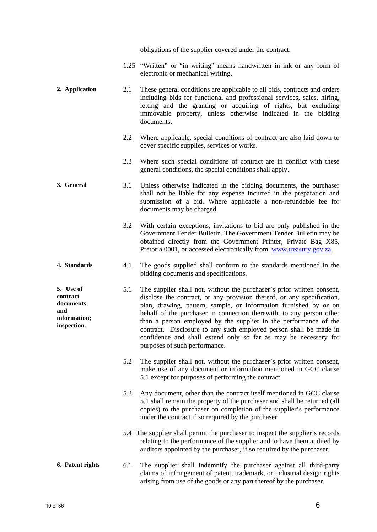obligations of the supplier covered under the contract.

- 1.25 "Written" or "in writing" means handwritten in ink or any form of electronic or mechanical writing.
- **2. Application** 2.1 These general conditions are applicable to all bids, contracts and orders including bids for functional and professional services, sales, hiring, letting and the granting or acquiring of rights, but excluding immovable property, unless otherwise indicated in the bidding documents.
	- 2.2 Where applicable, special conditions of contract are also laid down to cover specific supplies, services or works.
	- 2.3 Where such special conditions of contract are in conflict with these general conditions, the special conditions shall apply.
- **3. General** 3.1 Unless otherwise indicated in the bidding documents, the purchaser shall not be liable for any expense incurred in the preparation and submission of a bid. Where applicable a non-refundable fee for documents may be charged.
	- 3.2 With certain exceptions, invitations to bid are only published in the Government Tender Bulletin. The Government Tender Bulletin may be obtained directly from the Government Printer, Private Bag X85, Pretoria 0001, or accessed electronically from www.treasury.gov.za
- **4. Standards** 4.1 The goods supplied shall conform to the standards mentioned in the bidding documents and specifications.
- **5. Use of contract documents information; inspection.**  5.1 The supplier shall not, without the purchaser's prior written consent, disclose the contract, or any provision thereof, or any specification, plan, drawing, pattern, sample, or information furnished by or on behalf of the purchaser in connection therewith, to any person other than a person employed by the supplier in the performance of the contract. Disclosure to any such employed person shall be made in confidence and shall extend only so far as may be necessary for purposes of such performance.
	- 5.2 The supplier shall not, without the purchaser's prior written consent, make use of any document or information mentioned in GCC clause 5.1 except for purposes of performing the contract.
	- 5.3 Any document, other than the contract itself mentioned in GCC clause 5.1 shall remain the property of the purchaser and shall be returned (all copies) to the purchaser on completion of the supplier's performance under the contract if so required by the purchaser.
	- 5.4 The supplier shall permit the purchaser to inspect the supplier's records relating to the performance of the supplier and to have them audited by auditors appointed by the purchaser, if so required by the purchaser.

#### **6. Patent rights** 6.1 The supplier shall indemnify the purchaser against all third-party claims of infringement of patent, trademark, or industrial design rights arising from use of the goods or any part thereof by the purchaser.

**and**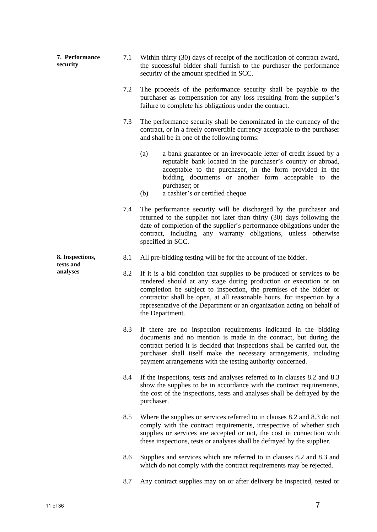| 7. Performance<br>security | 7.1 | Within thirty (30) days of receipt of the notification of contract award,<br>the successful bidder shall furnish to the purchaser the performance<br>security of the amount specified in SCC.                                                                                                                                                                                              |
|----------------------------|-----|--------------------------------------------------------------------------------------------------------------------------------------------------------------------------------------------------------------------------------------------------------------------------------------------------------------------------------------------------------------------------------------------|
|                            | 7.2 | The proceeds of the performance security shall be payable to the<br>purchaser as compensation for any loss resulting from the supplier's<br>failure to complete his obligations under the contract.                                                                                                                                                                                        |
|                            | 7.3 | The performance security shall be denominated in the currency of the<br>contract, or in a freely convertible currency acceptable to the purchaser<br>and shall be in one of the following forms:                                                                                                                                                                                           |
|                            |     | (a)<br>a bank guarantee or an irrevocable letter of credit issued by a<br>reputable bank located in the purchaser's country or abroad,<br>acceptable to the purchaser, in the form provided in the<br>bidding documents or another form acceptable to the<br>purchaser; or<br>a cashier's or certified cheque<br>(b)                                                                       |
|                            | 7.4 | The performance security will be discharged by the purchaser and<br>returned to the supplier not later than thirty (30) days following the<br>date of completion of the supplier's performance obligations under the<br>contract, including any warranty obligations, unless otherwise<br>specified in SCC.                                                                                |
| 8. Inspections,            | 8.1 | All pre-bidding testing will be for the account of the bidder.                                                                                                                                                                                                                                                                                                                             |
| tests and<br>analyses      | 8.2 | If it is a bid condition that supplies to be produced or services to be<br>rendered should at any stage during production or execution or on<br>completion be subject to inspection, the premises of the bidder or<br>contractor shall be open, at all reasonable hours, for inspection by a<br>representative of the Department or an organization acting on behalf of<br>the Department. |
|                            | 8.3 | If there are no inspection requirements indicated in the bidding<br>documents and no mention is made in the contract, but during the<br>contract period it is decided that inspections shall be carried out, the<br>purchaser shall itself make the necessary arrangements, including<br>payment arrangements with the testing authority concerned.                                        |
|                            | 8.4 | If the inspections, tests and analyses referred to in clauses 8.2 and 8.3<br>show the supplies to be in accordance with the contract requirements,<br>the cost of the inspections, tests and analyses shall be defrayed by the<br>purchaser.                                                                                                                                               |
|                            | 8.5 | Where the supplies or services referred to in clauses 8.2 and 8.3 do not<br>comply with the contract requirements, irrespective of whether such<br>supplies or services are accepted or not, the cost in connection with<br>these inspections, tests or analyses shall be defrayed by the supplier.                                                                                        |
|                            | 8.6 | Supplies and services which are referred to in clauses 8.2 and 8.3 and<br>which do not comply with the contract requirements may be rejected.                                                                                                                                                                                                                                              |
|                            | 8.7 | Any contract supplies may on or after delivery be inspected, tested or                                                                                                                                                                                                                                                                                                                     |
|                            |     |                                                                                                                                                                                                                                                                                                                                                                                            |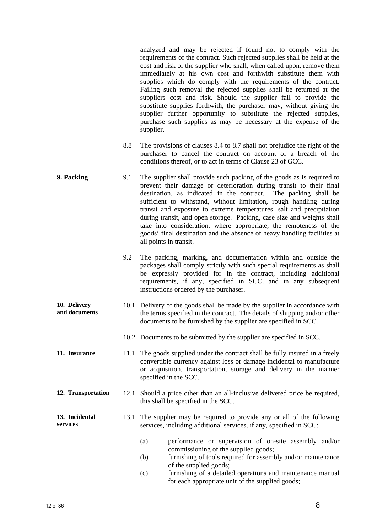analyzed and may be rejected if found not to comply with the requirements of the contract. Such rejected supplies shall be held at the cost and risk of the supplier who shall, when called upon, remove them immediately at his own cost and forthwith substitute them with supplies which do comply with the requirements of the contract. Failing such removal the rejected supplies shall be returned at the suppliers cost and risk. Should the supplier fail to provide the substitute supplies forthwith, the purchaser may, without giving the supplier further opportunity to substitute the rejected supplies, purchase such supplies as may be necessary at the expense of the supplier.

- 8.8 The provisions of clauses 8.4 to 8.7 shall not prejudice the right of the purchaser to cancel the contract on account of a breach of the conditions thereof, or to act in terms of Clause 23 of GCC.
- **9. Packing** 9.1 The supplier shall provide such packing of the goods as is required to prevent their damage or deterioration during transit to their final destination, as indicated in the contract. The packing shall be sufficient to withstand, without limitation, rough handling during transit and exposure to extreme temperatures, salt and precipitation during transit, and open storage. Packing, case size and weights shall take into consideration, where appropriate, the remoteness of the goods' final destination and the absence of heavy handling facilities at all points in transit.
	- 9.2 The packing, marking, and documentation within and outside the packages shall comply strictly with such special requirements as shall be expressly provided for in the contract, including additional requirements, if any, specified in SCC, and in any subsequent instructions ordered by the purchaser.
- **10. Delivery and documents**  10.1 Delivery of the goods shall be made by the supplier in accordance with the terms specified in the contract. The details of shipping and/or other documents to be furnished by the supplier are specified in SCC.
	- 10.2 Documents to be submitted by the supplier are specified in SCC.
- **11. Insurance** 11.1 The goods supplied under the contract shall be fully insured in a freely convertible currency against loss or damage incidental to manufacture or acquisition, transportation, storage and delivery in the manner specified in the SCC.
- **12. Transportation** 12.1 Should a price other than an all-inclusive delivered price be required, this shall be specified in the SCC.

#### **13. Incidental services**  13.1 The supplier may be required to provide any or all of the following services, including additional services, if any, specified in SCC:

- (a) performance or supervision of on-site assembly and/or commissioning of the supplied goods;
- (b) furnishing of tools required for assembly and/or maintenance of the supplied goods;
- (c) furnishing of a detailed operations and maintenance manual for each appropriate unit of the supplied goods;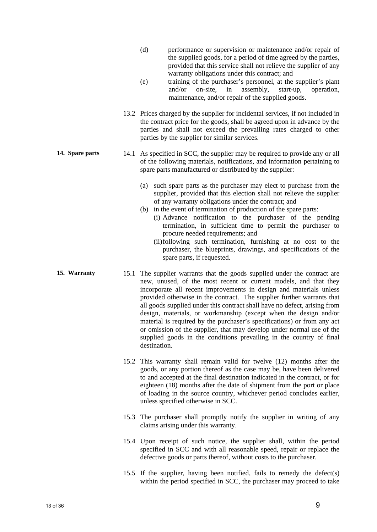- (d) performance or supervision or maintenance and/or repair of the supplied goods, for a period of time agreed by the parties, provided that this service shall not relieve the supplier of any warranty obligations under this contract; and
- (e) training of the purchaser's personnel, at the supplier's plant and/or on-site, in assembly, start-up, operation, maintenance, and/or repair of the supplied goods.
- 13.2 Prices charged by the supplier for incidental services, if not included in the contract price for the goods, shall be agreed upon in advance by the parties and shall not exceed the prevailing rates charged to other parties by the supplier for similar services.
- **14. Spare parts** 14.1 As specified in SCC, the supplier may be required to provide any or all of the following materials, notifications, and information pertaining to spare parts manufactured or distributed by the supplier:
	- (a) such spare parts as the purchaser may elect to purchase from the supplier, provided that this election shall not relieve the supplier of any warranty obligations under the contract; and
	- (b) in the event of termination of production of the spare parts: (i) Advance notification to the purchaser of the pending termination, in sufficient time to permit the purchaser to procure needed requirements; and
		- (ii) following such termination, furnishing at no cost to the purchaser, the blueprints, drawings, and specifications of the spare parts, if requested.
- **15. Warranty** 15.1 The supplier warrants that the goods supplied under the contract are new, unused, of the most recent or current models, and that they incorporate all recent improvements in design and materials unless provided otherwise in the contract. The supplier further warrants that all goods supplied under this contract shall have no defect, arising from design, materials, or workmanship (except when the design and/or material is required by the purchaser's specifications) or from any act or omission of the supplier, that may develop under normal use of the supplied goods in the conditions prevailing in the country of final destination.
	- 15.2 This warranty shall remain valid for twelve (12) months after the goods, or any portion thereof as the case may be, have been delivered to and accepted at the final destination indicated in the contract, or for eighteen (18) months after the date of shipment from the port or place of loading in the source country, whichever period concludes earlier, unless specified otherwise in SCC.
	- 15.3 The purchaser shall promptly notify the supplier in writing of any claims arising under this warranty.
	- 15.4 Upon receipt of such notice, the supplier shall, within the period specified in SCC and with all reasonable speed, repair or replace the defective goods or parts thereof, without costs to the purchaser.
	- 15.5 If the supplier, having been notified, fails to remedy the defect(s) within the period specified in SCC, the purchaser may proceed to take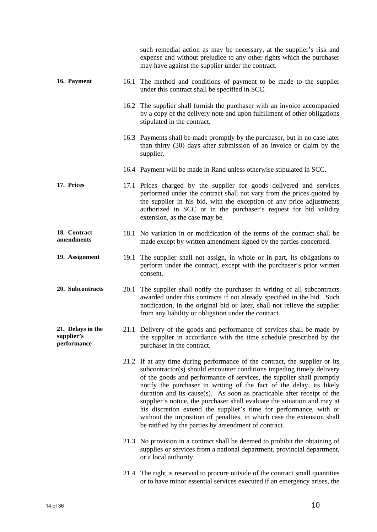|                                                |      | such remedial action as may be necessary, at the supplier's risk and<br>expense and without prejudice to any other rights which the purchaser<br>may have against the supplier under the contract.                                                                                                                                                                                                                                                                                                                                                                                                                                                                  |
|------------------------------------------------|------|---------------------------------------------------------------------------------------------------------------------------------------------------------------------------------------------------------------------------------------------------------------------------------------------------------------------------------------------------------------------------------------------------------------------------------------------------------------------------------------------------------------------------------------------------------------------------------------------------------------------------------------------------------------------|
| 16. Payment                                    | 16.1 | The method and conditions of payment to be made to the supplier<br>under this contract shall be specified in SCC.                                                                                                                                                                                                                                                                                                                                                                                                                                                                                                                                                   |
|                                                |      | 16.2 The supplier shall furnish the purchaser with an invoice accompanied<br>by a copy of the delivery note and upon fulfillment of other obligations<br>stipulated in the contract.                                                                                                                                                                                                                                                                                                                                                                                                                                                                                |
|                                                |      | 16.3 Payments shall be made promptly by the purchaser, but in no case later<br>than thirty (30) days after submission of an invoice or claim by the<br>supplier.                                                                                                                                                                                                                                                                                                                                                                                                                                                                                                    |
|                                                |      | 16.4 Payment will be made in Rand unless otherwise stipulated in SCC.                                                                                                                                                                                                                                                                                                                                                                                                                                                                                                                                                                                               |
| 17. Prices                                     |      | 17.1 Prices charged by the supplier for goods delivered and services<br>performed under the contract shall not vary from the prices quoted by<br>the supplier in his bid, with the exception of any price adjustments<br>authorized in SCC or in the purchaser's request for bid validity<br>extension, as the case may be.                                                                                                                                                                                                                                                                                                                                         |
| 18. Contract<br>amendments                     |      | 18.1 No variation in or modification of the terms of the contract shall be<br>made except by written amendment signed by the parties concerned.                                                                                                                                                                                                                                                                                                                                                                                                                                                                                                                     |
| 19. Assignment                                 | 19.1 | The supplier shall not assign, in whole or in part, its obligations to<br>perform under the contract, except with the purchaser's prior written<br>consent.                                                                                                                                                                                                                                                                                                                                                                                                                                                                                                         |
| 20. Subcontracts                               | 20.1 | The supplier shall notify the purchaser in writing of all subcontracts<br>awarded under this contracts if not already specified in the bid. Such<br>notification, in the original bid or later, shall not relieve the supplier<br>from any liability or obligation under the contract.                                                                                                                                                                                                                                                                                                                                                                              |
| 21. Delays in the<br>supplier's<br>performance |      | 21.1 Delivery of the goods and performance of services shall be made by<br>the supplier in accordance with the time schedule prescribed by the<br>purchaser in the contract.                                                                                                                                                                                                                                                                                                                                                                                                                                                                                        |
|                                                |      | 21.2 If at any time during performance of the contract, the supplier or its<br>subcontractor(s) should encounter conditions impeding timely delivery<br>of the goods and performance of services, the supplier shall promptly<br>notify the purchaser in writing of the fact of the delay, its likely<br>duration and its cause(s). As soon as practicable after receipt of the<br>supplier's notice, the purchaser shall evaluate the situation and may at<br>his discretion extend the supplier's time for performance, with or<br>without the imposition of penalties, in which case the extension shall<br>be ratified by the parties by amendment of contract. |
|                                                |      | 21.3 No provision in a contract shall be deemed to prohibit the obtaining of<br>supplies or services from a national department, provincial department,<br>or a local authority.                                                                                                                                                                                                                                                                                                                                                                                                                                                                                    |
|                                                |      | 21.4 The right is reserved to procure outside of the contract small quantities<br>or to have minor essential services executed if an emergency arises, the                                                                                                                                                                                                                                                                                                                                                                                                                                                                                                          |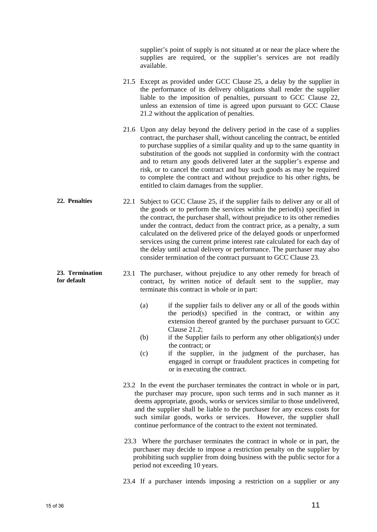supplier's point of supply is not situated at or near the place where the supplies are required, or the supplier's services are not readily available.

- 21.5 Except as provided under GCC Clause 25, a delay by the supplier in the performance of its delivery obligations shall render the supplier liable to the imposition of penalties, pursuant to GCC Clause 22, unless an extension of time is agreed upon pursuant to GCC Clause 21.2 without the application of penalties.
- 21.6 Upon any delay beyond the delivery period in the case of a supplies contract, the purchaser shall, without canceling the contract, be entitled to purchase supplies of a similar quality and up to the same quantity in substitution of the goods not supplied in conformity with the contract and to return any goods delivered later at the supplier's expense and risk, or to cancel the contract and buy such goods as may be required to complete the contract and without prejudice to his other rights, be entitled to claim damages from the supplier.
- **22. Penalties** 22.1 Subject to GCC Clause 25, if the supplier fails to deliver any or all of the goods or to perform the services within the period(s) specified in the contract, the purchaser shall, without prejudice to its other remedies under the contract, deduct from the contract price, as a penalty, a sum calculated on the delivered price of the delayed goods or unperformed services using the current prime interest rate calculated for each day of the delay until actual delivery or performance. The purchaser may also consider termination of the contract pursuant to GCC Clause 23.
	- 23.1 The purchaser, without prejudice to any other remedy for breach of contract, by written notice of default sent to the supplier, may terminate this contract in whole or in part:
		- (a) if the supplier fails to deliver any or all of the goods within the period(s) specified in the contract, or within any extension thereof granted by the purchaser pursuant to GCC Clause 21.2;
		- (b) if the Supplier fails to perform any other obligation(s) under the contract; or
		- (c) if the supplier, in the judgment of the purchaser, has engaged in corrupt or fraudulent practices in competing for or in executing the contract.
		- 23.2 In the event the purchaser terminates the contract in whole or in part, the purchaser may procure, upon such terms and in such manner as it deems appropriate, goods, works or services similar to those undelivered, and the supplier shall be liable to the purchaser for any excess costs for such similar goods, works or services. However, the supplier shall continue performance of the contract to the extent not terminated.
		- 23.3 Where the purchaser terminates the contract in whole or in part, the purchaser may decide to impose a restriction penalty on the supplier by prohibiting such supplier from doing business with the public sector for a period not exceeding 10 years.

23.4 If a purchaser intends imposing a restriction on a supplier or any

**23. Termination for default**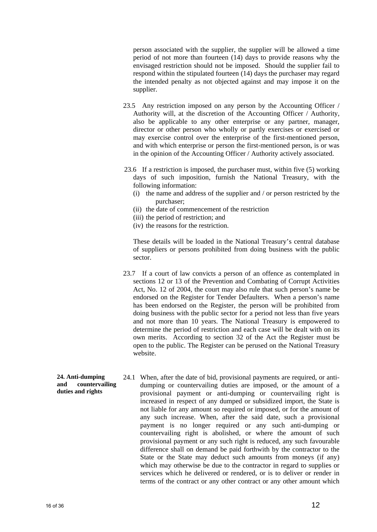person associated with the supplier, the supplier will be allowed a time period of not more than fourteen (14) days to provide reasons why the envisaged restriction should not be imposed. Should the supplier fail to respond within the stipulated fourteen (14) days the purchaser may regard the intended penalty as not objected against and may impose it on the supplier.

- 23.5 Any restriction imposed on any person by the Accounting Officer / Authority will, at the discretion of the Accounting Officer / Authority, also be applicable to any other enterprise or any partner, manager, director or other person who wholly or partly exercises or exercised or may exercise control over the enterprise of the first-mentioned person, and with which enterprise or person the first-mentioned person, is or was in the opinion of the Accounting Officer / Authority actively associated.
- 23.6 If a restriction is imposed, the purchaser must, within five (5) working days of such imposition, furnish the National Treasury, with the following information:
	- (i) the name and address of the supplier and / or person restricted by the purchaser;
	- (ii) the date of commencement of the restriction
	- (iii) the period of restriction; and
	- (iv) the reasons for the restriction.

These details will be loaded in the National Treasury's central database of suppliers or persons prohibited from doing business with the public sector.

- 23.7 If a court of law convicts a person of an offence as contemplated in sections 12 or 13 of the Prevention and Combating of Corrupt Activities Act, No. 12 of 2004, the court may also rule that such person's name be endorsed on the Register for Tender Defaulters. When a person's name has been endorsed on the Register, the person will be prohibited from doing business with the public sector for a period not less than five years and not more than 10 years. The National Treasury is empowered to determine the period of restriction and each case will be dealt with on its own merits. According to section 32 of the Act the Register must be open to the public. The Register can be perused on the National Treasury website.
- **24. Anti-dumping and countervailing duties and rights**  24.1 When, after the date of bid, provisional payments are required, or antidumping or countervailing duties are imposed, or the amount of a provisional payment or anti-dumping or countervailing right is increased in respect of any dumped or subsidized import, the State is not liable for any amount so required or imposed, or for the amount of any such increase. When, after the said date, such a provisional payment is no longer required or any such anti-dumping or countervailing right is abolished, or where the amount of such provisional payment or any such right is reduced, any such favourable difference shall on demand be paid forthwith by the contractor to the State or the State may deduct such amounts from moneys (if any) which may otherwise be due to the contractor in regard to supplies or services which he delivered or rendered, or is to deliver or render in terms of the contract or any other contract or any other amount which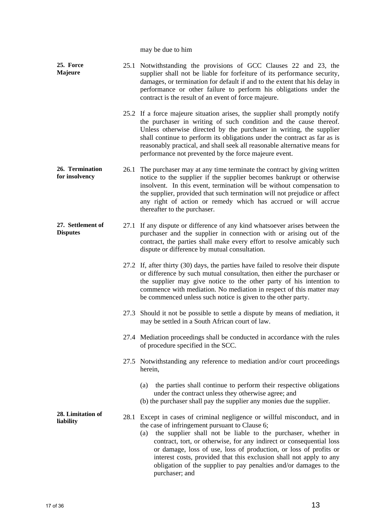may be due to him

| 25. Force<br><b>Majeure</b>          |      | 25.1 Notwithstanding the provisions of GCC Clauses 22 and 23, the<br>supplier shall not be liable for forfeiture of its performance security,<br>damages, or termination for default if and to the extent that his delay in<br>performance or other failure to perform his obligations under the<br>contract is the result of an event of force majeure.                                                                                                                                                  |
|--------------------------------------|------|-----------------------------------------------------------------------------------------------------------------------------------------------------------------------------------------------------------------------------------------------------------------------------------------------------------------------------------------------------------------------------------------------------------------------------------------------------------------------------------------------------------|
|                                      |      | 25.2 If a force majeure situation arises, the supplier shall promptly notify<br>the purchaser in writing of such condition and the cause thereof.<br>Unless otherwise directed by the purchaser in writing, the supplier<br>shall continue to perform its obligations under the contract as far as is<br>reasonably practical, and shall seek all reasonable alternative means for<br>performance not prevented by the force majeure event.                                                               |
| 26. Termination<br>for insolvency    | 26.1 | The purchaser may at any time terminate the contract by giving written<br>notice to the supplier if the supplier becomes bankrupt or otherwise<br>insolvent. In this event, termination will be without compensation to<br>the supplier, provided that such termination will not prejudice or affect<br>any right of action or remedy which has accrued or will accrue<br>thereafter to the purchaser.                                                                                                    |
| 27. Settlement of<br><b>Disputes</b> |      | 27.1 If any dispute or difference of any kind whatsoever arises between the<br>purchaser and the supplier in connection with or arising out of the<br>contract, the parties shall make every effort to resolve amicably such<br>dispute or difference by mutual consultation.                                                                                                                                                                                                                             |
|                                      |      | 27.2 If, after thirty (30) days, the parties have failed to resolve their dispute<br>or difference by such mutual consultation, then either the purchaser or<br>the supplier may give notice to the other party of his intention to<br>commence with mediation. No mediation in respect of this matter may<br>be commenced unless such notice is given to the other party.                                                                                                                                |
|                                      |      | 27.3 Should it not be possible to settle a dispute by means of mediation, it<br>may be settled in a South African court of law.                                                                                                                                                                                                                                                                                                                                                                           |
|                                      |      | 27.4 Mediation proceedings shall be conducted in accordance with the rules<br>of procedure specified in the SCC.                                                                                                                                                                                                                                                                                                                                                                                          |
|                                      |      | 27.5 Notwithstanding any reference to mediation and/or court proceedings<br>herein,                                                                                                                                                                                                                                                                                                                                                                                                                       |
|                                      |      | the parties shall continue to perform their respective obligations<br>(a)<br>under the contract unless they otherwise agree; and<br>(b) the purchaser shall pay the supplier any monies due the supplier.                                                                                                                                                                                                                                                                                                 |
| 28. Limitation of<br>liability       | 28.1 | Except in cases of criminal negligence or willful misconduct, and in<br>the case of infringement pursuant to Clause 6;<br>the supplier shall not be liable to the purchaser, whether in<br>(a)<br>contract, tort, or otherwise, for any indirect or consequential loss<br>or damage, loss of use, loss of production, or loss of profits or<br>interest costs, provided that this exclusion shall not apply to any<br>obligation of the supplier to pay penalties and/or damages to the<br>purchaser; and |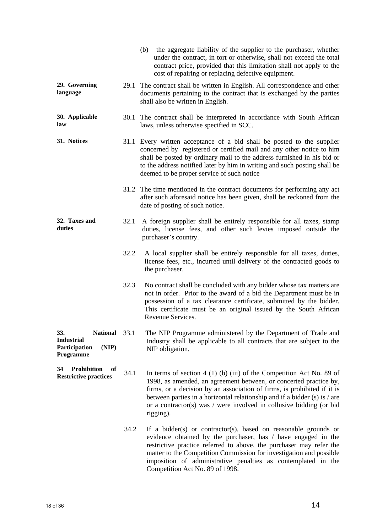|                                                                                  |      | (b) the aggregate liability of the supplier to the purchaser, whether<br>under the contract, in tort or otherwise, shall not exceed the total<br>contract price, provided that this limitation shall not apply to the<br>cost of repairing or replacing defective equipment.                                                                                                             |
|----------------------------------------------------------------------------------|------|------------------------------------------------------------------------------------------------------------------------------------------------------------------------------------------------------------------------------------------------------------------------------------------------------------------------------------------------------------------------------------------|
| 29. Governing<br>language                                                        |      | 29.1 The contract shall be written in English. All correspondence and other<br>documents pertaining to the contract that is exchanged by the parties<br>shall also be written in English.                                                                                                                                                                                                |
| 30. Applicable<br>law                                                            |      | 30.1 The contract shall be interpreted in accordance with South African<br>laws, unless otherwise specified in SCC.                                                                                                                                                                                                                                                                      |
| 31. Notices                                                                      |      | 31.1 Every written acceptance of a bid shall be posted to the supplier<br>concerned by registered or certified mail and any other notice to him<br>shall be posted by ordinary mail to the address furnished in his bid or<br>to the address notified later by him in writing and such posting shall be<br>deemed to be proper service of such notice                                    |
|                                                                                  |      | 31.2 The time mentioned in the contract documents for performing any act<br>after such aforesaid notice has been given, shall be reckoned from the<br>date of posting of such notice.                                                                                                                                                                                                    |
| 32. Taxes and<br>duties                                                          | 32.1 | A foreign supplier shall be entirely responsible for all taxes, stamp<br>duties, license fees, and other such levies imposed outside the<br>purchaser's country.                                                                                                                                                                                                                         |
|                                                                                  | 32.2 | A local supplier shall be entirely responsible for all taxes, duties,<br>license fees, etc., incurred until delivery of the contracted goods to<br>the purchaser.                                                                                                                                                                                                                        |
|                                                                                  | 32.3 | No contract shall be concluded with any bidder whose tax matters are<br>not in order. Prior to the award of a bid the Department must be in<br>possession of a tax clearance certificate, submitted by the bidder.<br>This certificate must be an original issued by the South African<br>Revenue Services.                                                                              |
| 33.<br>National 33.1<br><b>Industrial</b><br>Participation<br>(NIP)<br>Programme |      | The NIP Programme administered by the Department of Trade and<br>Industry shall be applicable to all contracts that are subject to the<br>NIP obligation.                                                                                                                                                                                                                                |
| <b>Prohibition</b><br>34<br>of<br><b>Restrictive practices</b>                   | 34.1 | In terms of section $4(1)(b)(iii)$ of the Competition Act No. 89 of<br>1998, as amended, an agreement between, or concerted practice by,<br>firms, or a decision by an association of firms, is prohibited if it is<br>between parties in a horizontal relationship and if a bidder $(s)$ is / are<br>or a contractor(s) was $/$ were involved in collusive bidding (or bid<br>rigging). |
|                                                                                  | 34.2 | If a bidder(s) or contractor(s), based on reasonable grounds or<br>evidence obtained by the purchaser, has / have engaged in the<br>restrictive practice referred to above, the purchaser may refer the<br>matter to the Competition Commission for investigation and possible<br>imposition of administrative penalties as contemplated in the<br>Competition Act No. 89 of 1998.       |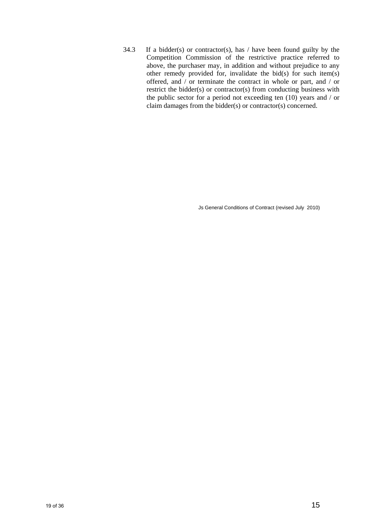34.3 If a bidder(s) or contractor(s), has  $/$  have been found guilty by the Competition Commission of the restrictive practice referred to above, the purchaser may, in addition and without prejudice to any other remedy provided for, invalidate the bid(s) for such item(s) offered, and / or terminate the contract in whole or part, and / or restrict the bidder(s) or contractor(s) from conducting business with the public sector for a period not exceeding ten (10) years and / or claim damages from the bidder(s) or contractor(s) concerned.

Js General Conditions of Contract (revised July 2010)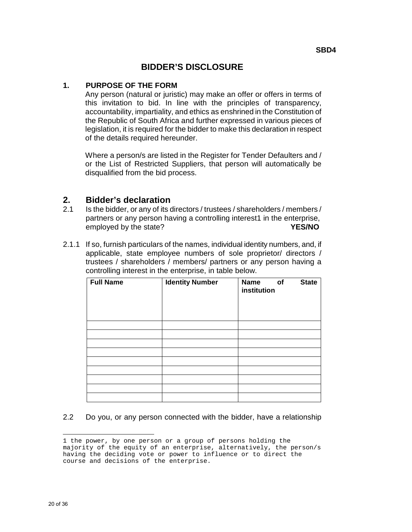#### **BIDDER'S DISCLOSURE**

#### **1. PURPOSE OF THE FORM**

Any person (natural or juristic) may make an offer or offers in terms of this invitation to bid. In line with the principles of transparency, accountability, impartiality, and ethics as enshrined in the Constitution of the Republic of South Africa and further expressed in various pieces of legislation, it is required for the bidder to make this declaration in respect of the details required hereunder.

Where a person/s are listed in the Register for Tender Defaulters and / or the List of Restricted Suppliers, that person will automatically be disqualified from the bid process.

#### **2. Bidder's declaration**

- 2.1 Is the bidder, or any of its directors / trustees / shareholders / members / partners or any person having a controlling interest1 in the enterprise, employed by the state? **YES/NO**
- 2.1.1 If so, furnish particulars of the names, individual identity numbers, and, if applicable, state employee numbers of sole proprietor/ directors / trustees / shareholders / members/ partners or any person having a controlling interest in the enterprise, in table below.

| <b>Full Name</b> | <b>Identity Number</b> | <b>Name</b><br>institution | of | <b>State</b> |
|------------------|------------------------|----------------------------|----|--------------|
|                  |                        |                            |    |              |
|                  |                        |                            |    |              |
|                  |                        |                            |    |              |
|                  |                        |                            |    |              |
|                  |                        |                            |    |              |
|                  |                        |                            |    |              |
|                  |                        |                            |    |              |
|                  |                        |                            |    |              |
|                  |                        |                            |    |              |

#### 2.2 Do you, or any person connected with the bidder, have a relationship

<sup>÷</sup> 1 the power, by one person or a group of persons holding the majority of the equity of an enterprise, alternatively, the person/s having the deciding vote or power to influence or to direct the course and decisions of the enterprise.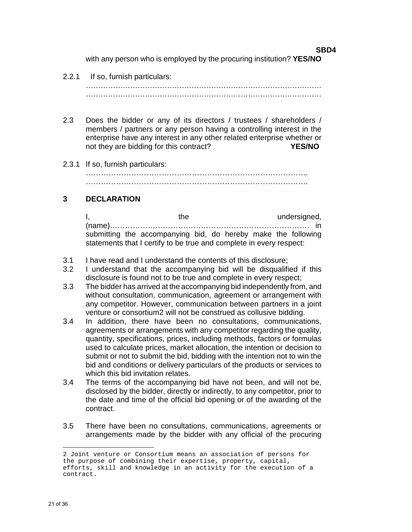**SBD4**  with any person who is employed by the procuring institution? **YES/NO**

#### 2.2.1 If so, furnish particulars:

…………………………………………………………………………………… ……………………………………………………………………………………

- 2.3 Does the bidder or any of its directors / trustees / shareholders / members / partners or any person having a controlling interest in the enterprise have any interest in any other related enterprise whether or not they are bidding for this contract? **YES/NO**
- 2.3.1 If so, furnish particulars:

……………………………………………………………………………. …………………………………………………………………………….

#### **3 DECLARATION**

I, the undersigned, the undersigned, (name)……………………………………………………………………. in submitting the accompanying bid, do hereby make the following statements that I certify to be true and complete in every respect:

- 3.1 I have read and I understand the contents of this disclosure;
- 3.2 I understand that the accompanying bid will be disqualified if this disclosure is found not to be true and complete in every respect;
- 3.3 The bidder has arrived at the accompanying bid independently from, and without consultation, communication, agreement or arrangement with any competitor. However, communication between partners in a joint venture or consortium2 will not be construed as collusive bidding.
- 3.4In addition, there have been no consultations, communications, agreements or arrangements with any competitor regarding the quality, quantity, specifications, prices, including methods, factors or formulas used to calculate prices, market allocation, the intention or decision to submit or not to submit the bid, bidding with the intention not to win the bid and conditions or delivery particulars of the products or services to which this bid invitation relates.
- 3.4 The terms of the accompanying bid have not been, and will not be, disclosed by the bidder, directly or indirectly, to any competitor, prior to the date and time of the official bid opening or of the awarding of the contract.
- 3.5 There have been no consultations, communications, agreements or arrangements made by the bidder with any official of the procuring

÷

<sup>2</sup> Joint venture or Consortium means an association of persons for the purpose of combining their expertise, property, capital, efforts, skill and knowledge in an activity for the execution of a contract.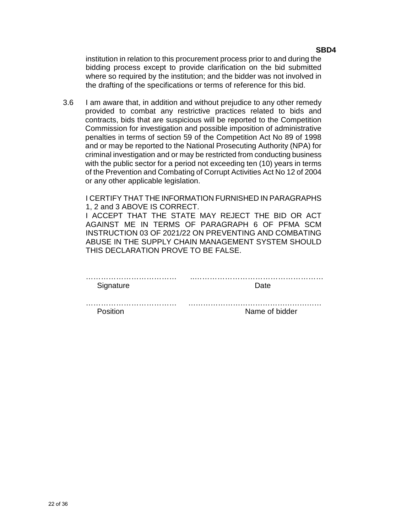institution in relation to this procurement process prior to and during the bidding process except to provide clarification on the bid submitted where so required by the institution; and the bidder was not involved in the drafting of the specifications or terms of reference for this bid.

3.6 I am aware that, in addition and without prejudice to any other remedy provided to combat any restrictive practices related to bids and contracts, bids that are suspicious will be reported to the Competition Commission for investigation and possible imposition of administrative penalties in terms of section 59 of the Competition Act No 89 of 1998 and or may be reported to the National Prosecuting Authority (NPA) for criminal investigation and or may be restricted from conducting business with the public sector for a period not exceeding ten (10) years in terms of the Prevention and Combating of Corrupt Activities Act No 12 of 2004 or any other applicable legislation.

I CERTIFY THAT THE INFORMATION FURNISHED IN PARAGRAPHS 1, 2 and 3 ABOVE IS CORRECT.

I ACCEPT THAT THE STATE MAY REJECT THE BID OR ACT AGAINST ME IN TERMS OF PARAGRAPH 6 OF PFMA SCM INSTRUCTION 03 OF 2021/22 ON PREVENTING AND COMBATING ABUSE IN THE SUPPLY CHAIN MANAGEMENT SYSTEM SHOULD THIS DECLARATION PROVE TO BE FALSE.

| Signature | Date           |
|-----------|----------------|
|           |                |
| Position  | Name of bidder |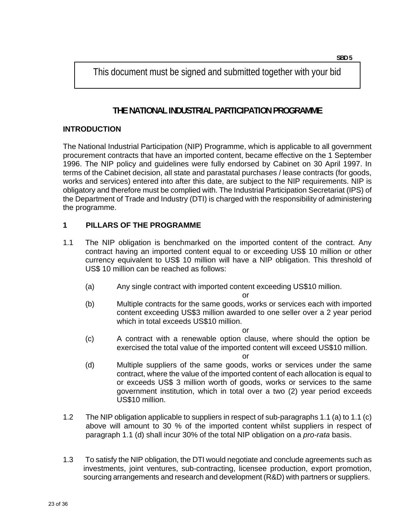This document must be signed and submitted together with your bid

### **THE NATIONAL INDUSTRIAL PARTICIPATION PROGRAMME**

#### **INTRODUCTION**

The National Industrial Participation (NIP) Programme, which is applicable to all government procurement contracts that have an imported content, became effective on the 1 September 1996. The NIP policy and guidelines were fully endorsed by Cabinet on 30 April 1997. In terms of the Cabinet decision, all state and parastatal purchases / lease contracts (for goods, works and services) entered into after this date, are subject to the NIP requirements. NIP is obligatory and therefore must be complied with. The Industrial Participation Secretariat (IPS) of the Department of Trade and Industry (DTI) is charged with the responsibility of administering the programme.

#### **1 PILLARS OF THE PROGRAMME**

- 1.1 The NIP obligation is benchmarked on the imported content of the contract. Any contract having an imported content equal to or exceeding US\$ 10 million or other currency equivalent to US\$ 10 million will have a NIP obligation. This threshold of US\$ 10 million can be reached as follows:
	- (a) Any single contract with imported content exceeding US\$10 million.

or

(b) Multiple contracts for the same goods, works or services each with imported content exceeding US\$3 million awarded to one seller over a 2 year period which in total exceeds US\$10 million.

or

(c) A contract with a renewable option clause, where should the option be exercised the total value of the imported content will exceed US\$10 million.

or

- (d) Multiple suppliers of the same goods, works or services under the same contract, where the value of the imported content of each allocation is equal to or exceeds US\$ 3 million worth of goods, works or services to the same government institution, which in total over a two (2) year period exceeds US\$10 million.
- 1.2 The NIP obligation applicable to suppliers in respect of sub-paragraphs 1.1 (a) to 1.1 (c) above will amount to 30 % of the imported content whilst suppliers in respect of paragraph 1.1 (d) shall incur 30% of the total NIP obligation on a *pro-rata* basis.
- 1.3 To satisfy the NIP obligation, the DTI would negotiate and conclude agreements such as investments, joint ventures, sub-contracting, licensee production, export promotion, sourcing arrangements and research and development (R&D) with partners or suppliers.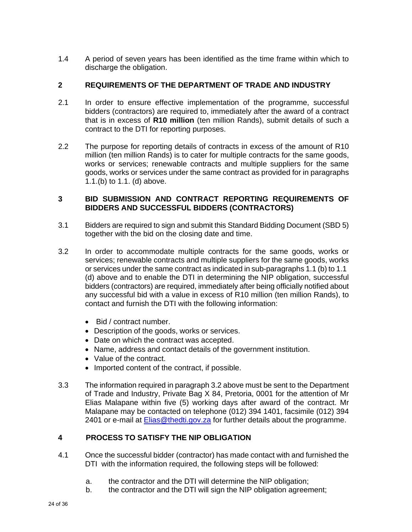1.4 A period of seven years has been identified as the time frame within which to discharge the obligation.

#### **2 REQUIREMENTS OF THE DEPARTMENT OF TRADE AND INDUSTRY**

- 2.1 In order to ensure effective implementation of the programme, successful bidders (contractors) are required to, immediately after the award of a contract that is in excess of **R10 million** (ten million Rands), submit details of such a contract to the DTI for reporting purposes.
- 2.2 The purpose for reporting details of contracts in excess of the amount of R10 million (ten million Rands) is to cater for multiple contracts for the same goods, works or services; renewable contracts and multiple suppliers for the same goods, works or services under the same contract as provided for in paragraphs 1.1.(b) to 1.1. (d) above.

#### **3 BID SUBMISSION AND CONTRACT REPORTING REQUIREMENTS OF BIDDERS AND SUCCESSFUL BIDDERS (CONTRACTORS)**

- 3.1 Bidders are required to sign and submit this Standard Bidding Document (SBD 5) together with the bid on the closing date and time.
- 3.2 In order to accommodate multiple contracts for the same goods, works or services; renewable contracts and multiple suppliers for the same goods, works or services under the same contract as indicated in sub-paragraphs 1.1 (b) to 1.1 (d) above and to enable the DTI in determining the NIP obligation, successful bidders (contractors) are required, immediately after being officially notified about any successful bid with a value in excess of R10 million (ten million Rands), to contact and furnish the DTI with the following information:
	- Bid / contract number.
	- Description of the goods, works or services.
	- Date on which the contract was accepted.
	- Name, address and contact details of the government institution.
	- Value of the contract.
	- Imported content of the contract, if possible.
- 3.3 The information required in paragraph 3.2 above must be sent to the Department of Trade and Industry, Private Bag X 84, Pretoria, 0001 for the attention of Mr Elias Malapane within five (5) working days after award of the contract. Mr Malapane may be contacted on telephone (012) 394 1401, facsimile (012) 394 2401 or e-mail at **Elias@thedti.gov.za** for further details about the programme.

#### **4 PROCESS TO SATISFY THE NIP OBLIGATION**

- 4.1 Once the successful bidder (contractor) has made contact with and furnished the DTI with the information required, the following steps will be followed:
	- a. the contractor and the DTI will determine the NIP obligation;
	- b. the contractor and the DTI will sign the NIP obligation agreement;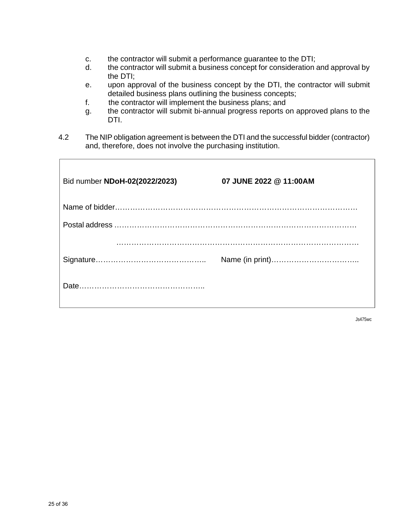- c. the contractor will submit a performance guarantee to the DTI;
- d. the contractor will submit a business concept for consideration and approval by the DTI;
- e. upon approval of the business concept by the DTI, the contractor will submit detailed business plans outlining the business concepts;
- f. the contractor will implement the business plans; and
- g. the contractor will submit bi-annual progress reports on approved plans to the DTI.
- 4.2 The NIP obligation agreement is between the DTI and the successful bidder (contractor) and, therefore, does not involve the purchasing institution.

| Bid number NDoH-02(2022/2023) | 07 JUNE 2022 @ 11:00AM |
|-------------------------------|------------------------|
|                               |                        |
|                               |                        |
|                               |                        |
|                               |                        |
|                               |                        |

Js475wc

 $\overline{1}$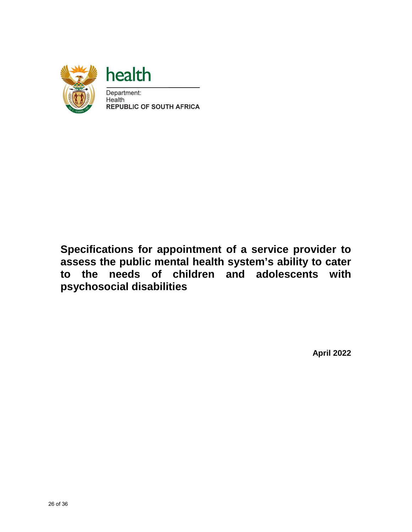

### **Specifications for appointment of a service provider to assess the public mental health system's ability to cater to the needs of children and adolescents with psychosocial disabilities**

**April 2022**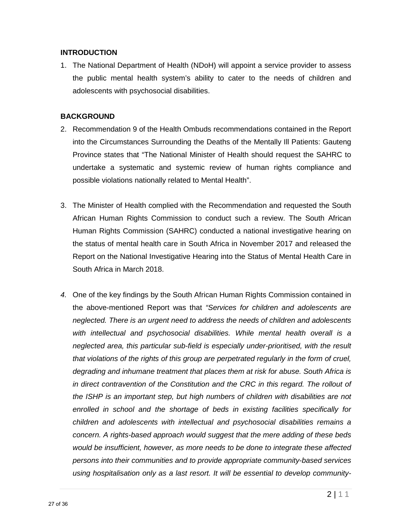#### **INTRODUCTION**

1. The National Department of Health (NDoH) will appoint a service provider to assess the public mental health system's ability to cater to the needs of children and adolescents with psychosocial disabilities.

#### **BACKGROUND**

- 2. Recommendation 9 of the Health Ombuds recommendations contained in the Report into the Circumstances Surrounding the Deaths of the Mentally Ill Patients: Gauteng Province states that "The National Minister of Health should request the SAHRC to undertake a systematic and systemic review of human rights compliance and possible violations nationally related to Mental Health".
- 3. The Minister of Health complied with the Recommendation and requested the South African Human Rights Commission to conduct such a review. The South African Human Rights Commission (SAHRC) conducted a national investigative hearing on the status of mental health care in South Africa in November 2017 and released the Report on the National Investigative Hearing into the Status of Mental Health Care in South Africa in March 2018.
- 4. One of the key findings by the South African Human Rights Commission contained in the above-mentioned Report was that "Services for children and adolescents are neglected. There is an urgent need to address the needs of children and adolescents with intellectual and psychosocial disabilities. While mental health overall is a neglected area, this particular sub-field is especially under-prioritised, with the result that violations of the rights of this group are perpetrated regularly in the form of cruel, degrading and inhumane treatment that places them at risk for abuse. South Africa is in direct contravention of the Constitution and the CRC in this regard. The rollout of the ISHP is an important step, but high numbers of children with disabilities are not enrolled in school and the shortage of beds in existing facilities specifically for children and adolescents with intellectual and psychosocial disabilities remains a concern. A rights-based approach would suggest that the mere adding of these beds would be insufficient, however, as more needs to be done to integrate these affected persons into their communities and to provide appropriate community-based services using hospitalisation only as a last resort. It will be essential to develop community-

 $2 | 1 1$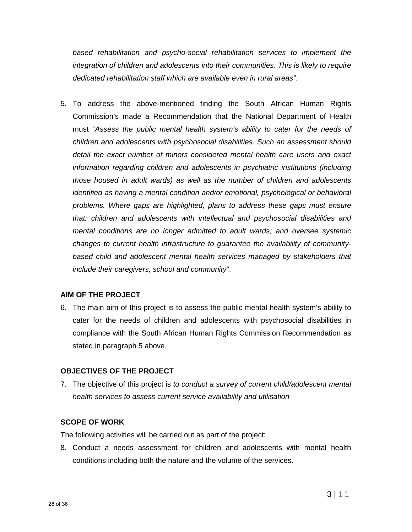based rehabilitation and psycho-social rehabilitation services to implement the integration of children and adolescents into their communities. This is likely to require dedicated rehabilitation staff which are available even in rural areas".

5. To address the above-mentioned finding the South African Human Rights Commission's made a Recommendation that the National Department of Health must "Assess the public mental health system's ability to cater for the needs of children and adolescents with psychosocial disabilities. Such an assessment should detail the exact number of minors considered mental health care users and exact information regarding children and adolescents in psychiatric institutions (including those housed in adult wards) as well as the number of children and adolescents identified as having a mental condition and/or emotional, psychological or behavioral problems. Where gaps are highlighted, plans to address these gaps must ensure that: children and adolescents with intellectual and psychosocial disabilities and mental conditions are no longer admitted to adult wards; and oversee systemic changes to current health infrastructure to guarantee the availability of communitybased child and adolescent mental health services managed by stakeholders that include their caregivers, school and community".

#### **AIM OF THE PROJECT**

6. The main aim of this project is to assess the public mental health system's ability to cater for the needs of children and adolescents with psychosocial disabilities in compliance with the South African Human Rights Commission Recommendation as stated in paragraph 5 above.

#### **OBJECTIVES OF THE PROJECT**

7. The objective of this project is to conduct a survey of current child/adolescent mental health services to assess current service availability and utilisation

#### **SCOPE OF WORK**

The following activities will be carried out as part of the project:

8. Conduct a needs assessment for children and adolescents with mental health conditions including both the nature and the volume of the services.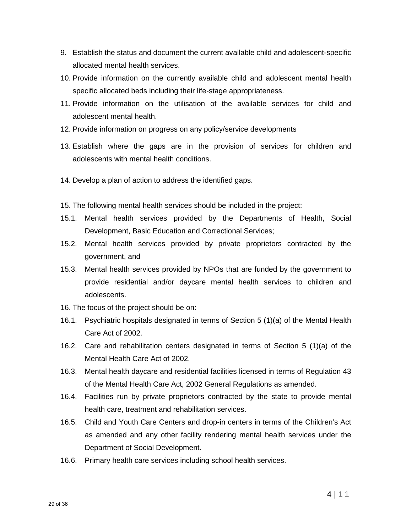- 9. Establish the status and document the current available child and adolescent-specific allocated mental health services.
- 10. Provide information on the currently available child and adolescent mental health specific allocated beds including their life-stage appropriateness.
- 11. Provide information on the utilisation of the available services for child and adolescent mental health.
- 12. Provide information on progress on any policy/service developments
- 13. Establish where the gaps are in the provision of services for children and adolescents with mental health conditions.
- 14. Develop a plan of action to address the identified gaps.
- 15. The following mental health services should be included in the project:
- 15.1. Mental health services provided by the Departments of Health, Social Development, Basic Education and Correctional Services;
- 15.2. Mental health services provided by private proprietors contracted by the government, and
- 15.3. Mental health services provided by NPOs that are funded by the government to provide residential and/or daycare mental health services to children and adolescents.
- 16. The focus of the project should be on:
- 16.1. Psychiatric hospitals designated in terms of Section 5 (1)(a) of the Mental Health Care Act of 2002.
- 16.2. Care and rehabilitation centers designated in terms of Section 5 (1)(a) of the Mental Health Care Act of 2002.
- 16.3. Mental health daycare and residential facilities licensed in terms of Regulation 43 of the Mental Health Care Act, 2002 General Regulations as amended.
- 16.4. Facilities run by private proprietors contracted by the state to provide mental health care, treatment and rehabilitation services.
- 16.5. Child and Youth Care Centers and drop-in centers in terms of the Children's Act as amended and any other facility rendering mental health services under the Department of Social Development.
- 16.6. Primary health care services including school health services.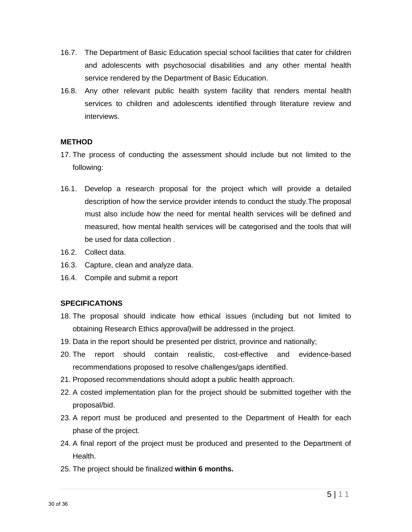- 16.7. The Department of Basic Education special school facilities that cater for children and adolescents with psychosocial disabilities and any other mental health service rendered by the Department of Basic Education.
- 16.8. Any other relevant public health system facility that renders mental health services to children and adolescents identified through literature review and interviews.

#### **METHOD**

- 17. The process of conducting the assessment should include but not limited to the following:
- 16.1. Develop a research proposal for the project which will provide a detailed description of how the service provider intends to conduct the study.The proposal must also include how the need for mental health services will be defined and measured, how mental health services will be categorised and the tools that will be used for data collection .
- 16.2. Collect data.
- 16.3. Capture, clean and analyze data.
- 16.4. Compile and submit a report

#### **SPECIFICATIONS**

- 18. The proposal should indicate how ethical issues (including but not limited to obtaining Research Ethics approval)will be addressed in the project.
- 19. Data in the report should be presented per district, province and nationally;
- 20. The report should contain realistic, cost-effective and evidence-based recommendations proposed to resolve challenges/gaps identified.
- 21. Proposed recommendations should adopt a public health approach.
- 22. A costed implementation plan for the project should be submitted together with the proposal/bid.
- 23. A report must be produced and presented to the Department of Health for each phase of the project.
- 24. A final report of the project must be produced and presented to the Department of Health.
- 25. The project should be finalized **within 6 months.**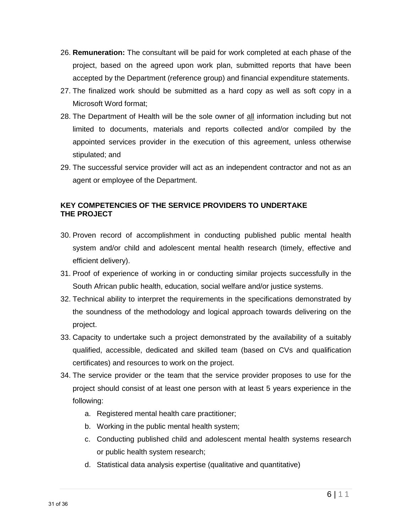- 26. **Remuneration:** The consultant will be paid for work completed at each phase of the project, based on the agreed upon work plan, submitted reports that have been accepted by the Department (reference group) and financial expenditure statements.
- 27. The finalized work should be submitted as a hard copy as well as soft copy in a Microsoft Word format;
- 28. The Department of Health will be the sole owner of all information including but not limited to documents, materials and reports collected and/or compiled by the appointed services provider in the execution of this agreement, unless otherwise stipulated; and
- 29. The successful service provider will act as an independent contractor and not as an agent or employee of the Department.

#### **KEY COMPETENCIES OF THE SERVICE PROVIDERS TO UNDERTAKE THE PROJECT**

- 30. Proven record of accomplishment in conducting published public mental health system and/or child and adolescent mental health research (timely, effective and efficient delivery).
- 31. Proof of experience of working in or conducting similar projects successfully in the South African public health, education, social welfare and/or justice systems.
- 32. Technical ability to interpret the requirements in the specifications demonstrated by the soundness of the methodology and logical approach towards delivering on the project.
- 33. Capacity to undertake such a project demonstrated by the availability of a suitably qualified, accessible, dedicated and skilled team (based on CVs and qualification certificates) and resources to work on the project.
- 34. The service provider or the team that the service provider proposes to use for the project should consist of at least one person with at least 5 years experience in the following:
	- a. Registered mental health care practitioner;
	- b. Working in the public mental health system;
	- c. Conducting published child and adolescent mental health systems research or public health system research;
	- d. Statistical data analysis expertise (qualitative and quantitative)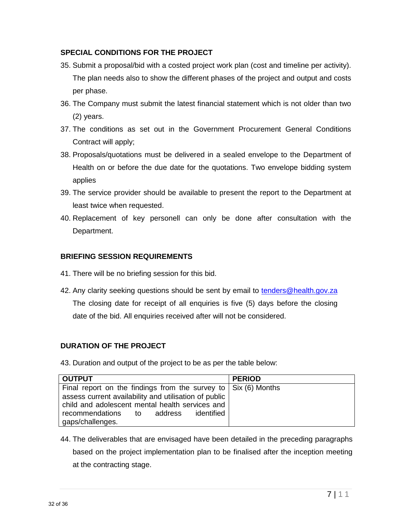#### **SPECIAL CONDITIONS FOR THE PROJECT**

- 35. Submit a proposal/bid with a costed project work plan (cost and timeline per activity). The plan needs also to show the different phases of the project and output and costs per phase.
- 36. The Company must submit the latest financial statement which is not older than two (2) years.
- 37. The conditions as set out in the Government Procurement General Conditions Contract will apply;
- 38. Proposals/quotations must be delivered in a sealed envelope to the Department of Health on or before the due date for the quotations. Two envelope bidding system applies
- 39. The service provider should be available to present the report to the Department at least twice when requested.
- 40. Replacement of key personell can only be done after consultation with the Department.

#### **BRIEFING SESSION REQUIREMENTS**

- 41. There will be no briefing session for this bid.
- 42. Any clarity seeking questions should be sent by email to [tenders@health.gov.za](mailto:tenders@health.gov.za)  The closing date for receipt of all enquiries is five (5) days before the closing date of the bid. All enquiries received after will not be considered.

#### **DURATION OF THE PROJECT**

43. Duration and output of the project to be as per the table below:

| <b>OUTPUT</b>                                                          | <b>PERIOD</b> |
|------------------------------------------------------------------------|---------------|
| Final report on the findings from the survey to $\vert$ Six (6) Months |               |
| assess current availability and utilisation of public                  |               |
| child and adolescent mental health services and                        |               |
| recommendations to address<br>identified                               |               |
| gaps/challenges.                                                       |               |

44. The deliverables that are envisaged have been detailed in the preceding paragraphs based on the project implementation plan to be finalised after the inception meeting at the contracting stage.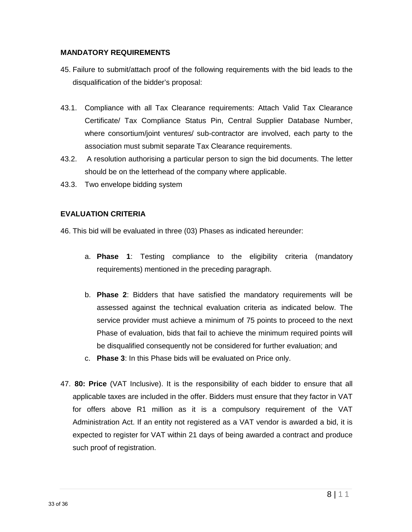#### **MANDATORY REQUIREMENTS**

- 45. Failure to submit/attach proof of the following requirements with the bid leads to the disqualification of the bidder's proposal:
- 43.1. Compliance with all Tax Clearance requirements: Attach Valid Tax Clearance Certificate/ Tax Compliance Status Pin, Central Supplier Database Number, where consortium/joint ventures/ sub-contractor are involved, each party to the association must submit separate Tax Clearance requirements.
- 43.2. A resolution authorising a particular person to sign the bid documents. The letter should be on the letterhead of the company where applicable.
- 43.3. Two envelope bidding system

#### **EVALUATION CRITERIA**

46. This bid will be evaluated in three (03) Phases as indicated hereunder:

- a. **Phase 1**: Testing compliance to the eligibility criteria (mandatory requirements) mentioned in the preceding paragraph.
- b. **Phase 2**: Bidders that have satisfied the mandatory requirements will be assessed against the technical evaluation criteria as indicated below. The service provider must achieve a minimum of 75 points to proceed to the next Phase of evaluation, bids that fail to achieve the minimum required points will be disqualified consequently not be considered for further evaluation; and
- c. **Phase 3**: In this Phase bids will be evaluated on Price only.
- 47. **80: Price** (VAT Inclusive). It is the responsibility of each bidder to ensure that all applicable taxes are included in the offer. Bidders must ensure that they factor in VAT for offers above R1 million as it is a compulsory requirement of the VAT Administration Act. If an entity not registered as a VAT vendor is awarded a bid, it is expected to register for VAT within 21 days of being awarded a contract and produce such proof of registration.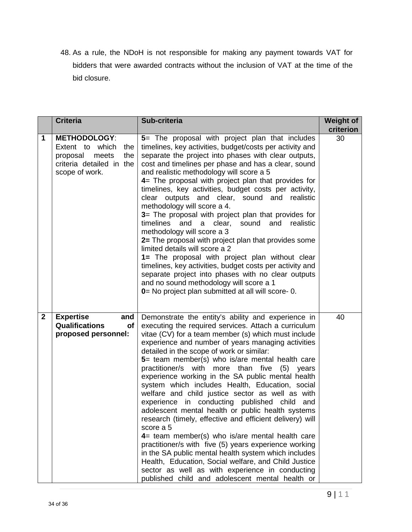48. As a rule, the NDoH is not responsible for making any payment towards VAT for bidders that were awarded contracts without the inclusion of VAT at the time of the bid closure.

|              | <b>Criteria</b>                                                                                                         | Sub-criteria                                                                                                                                                                                                                                                                                                                                                                                                                                                                                                                                                                                                                                                                                                                                                                                                                                                                                                                                                                                                                                          | Weight of<br>criterion |
|--------------|-------------------------------------------------------------------------------------------------------------------------|-------------------------------------------------------------------------------------------------------------------------------------------------------------------------------------------------------------------------------------------------------------------------------------------------------------------------------------------------------------------------------------------------------------------------------------------------------------------------------------------------------------------------------------------------------------------------------------------------------------------------------------------------------------------------------------------------------------------------------------------------------------------------------------------------------------------------------------------------------------------------------------------------------------------------------------------------------------------------------------------------------------------------------------------------------|------------------------|
| 1            | <b>METHODOLOGY:</b><br>Extent to which<br>the<br>the<br>proposal<br>meets<br>criteria detailed in the<br>scope of work. | 5= The proposal with project plan that includes<br>timelines, key activities, budget/costs per activity and<br>separate the project into phases with clear outputs,<br>cost and timelines per phase and has a clear, sound<br>and realistic methodology will score a 5<br>4= The proposal with project plan that provides for<br>timelines, key activities, budget costs per activity,<br>clear outputs and clear, sound and realistic<br>methodology will score a 4.<br>3= The proposal with project plan that provides for<br>timelines<br>and a clear, sound and realistic<br>methodology will score a 3<br>2= The proposal with project plan that provides some<br>limited details will score a 2<br>1= The proposal with project plan without clear<br>timelines, key activities, budget costs per activity and<br>separate project into phases with no clear outputs<br>and no sound methodology will score a 1<br>0 = No project plan submitted at all will score - 0.                                                                         | 30                     |
| $\mathbf{2}$ | <b>Expertise</b><br>and<br><b>Qualifications</b><br>of<br>proposed personnel:                                           | Demonstrate the entity's ability and experience in<br>executing the required services. Attach a curriculum<br>vitae (CV) for a team member (s) which must include<br>experience and number of years managing activities<br>detailed in the scope of work or similar:<br>5= team member(s) who is/are mental health care<br>practitioner/s with more than five (5) years<br>experience working in the SA public mental health<br>system which includes Health, Education, social<br>welfare and child justice sector as well as with<br>experience in conducting published child and<br>adolescent mental health or public health systems<br>research (timely, effective and efficient delivery) will<br>score a 5<br>$4=$ team member(s) who is/are mental health care<br>practitioner/s with five (5) years experience working<br>in the SA public mental health system which includes<br>Health, Education, Social welfare, and Child Justice<br>sector as well as with experience in conducting<br>published child and adolescent mental health or | 40                     |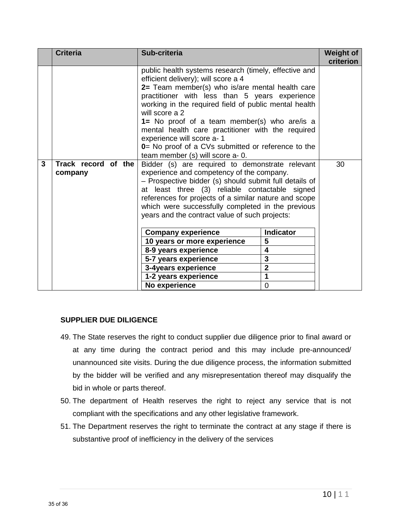|   | <b>Criteria</b>                | Sub-criteria                                                                                                                                                                                                                                                                                                                                                                                                                                                                                                                                                                                                                                                        |                         | <b>Weight of</b><br>criterion |
|---|--------------------------------|---------------------------------------------------------------------------------------------------------------------------------------------------------------------------------------------------------------------------------------------------------------------------------------------------------------------------------------------------------------------------------------------------------------------------------------------------------------------------------------------------------------------------------------------------------------------------------------------------------------------------------------------------------------------|-------------------------|-------------------------------|
| 3 | Track record of the<br>company | public health systems research (timely, effective and<br>efficient delivery); will score a 4<br>2= Team member(s) who is/are mental health care<br>practitioner with less than 5 years experience<br>working in the required field of public mental health<br>will score a 2<br>1= No proof of a team member(s) who are/is a<br>mental health care practitioner with the required<br>experience will score a- 1<br>0= No proof of a CVs submitted or reference to the<br>team member (s) will score a- 0.<br>Bidder (s) are required to demonstrate relevant<br>experience and competency of the company.<br>- Prospective bidder (s) should submit full details of |                         | 30                            |
|   |                                | at least three (3) reliable contactable signed<br>references for projects of a similar nature and scope<br>which were successfully completed in the previous<br>years and the contract value of such projects:<br><b>Indicator</b><br><b>Company experience</b>                                                                                                                                                                                                                                                                                                                                                                                                     |                         |                               |
|   |                                | 10 years or more experience                                                                                                                                                                                                                                                                                                                                                                                                                                                                                                                                                                                                                                         | 5                       |                               |
|   |                                | 8-9 years experience<br>5-7 years experience                                                                                                                                                                                                                                                                                                                                                                                                                                                                                                                                                                                                                        | 4<br>3                  |                               |
|   |                                | 3-4years experience                                                                                                                                                                                                                                                                                                                                                                                                                                                                                                                                                                                                                                                 | $\overline{\mathbf{2}}$ |                               |
|   |                                | 1-2 years experience                                                                                                                                                                                                                                                                                                                                                                                                                                                                                                                                                                                                                                                | 1                       |                               |
|   |                                | No experience                                                                                                                                                                                                                                                                                                                                                                                                                                                                                                                                                                                                                                                       | $\overline{0}$          |                               |

#### **SUPPLIER DUE DILIGENCE**

- 49. The State reserves the right to conduct supplier due diligence prior to final award or at any time during the contract period and this may include pre-announced/ unannounced site visits. During the due diligence process, the information submitted by the bidder will be verified and any misrepresentation thereof may disqualify the bid in whole or parts thereof.
- 50. The department of Health reserves the right to reject any service that is not compliant with the specifications and any other legislative framework.
- 51. The Department reserves the right to terminate the contract at any stage if there is substantive proof of inefficiency in the delivery of the services